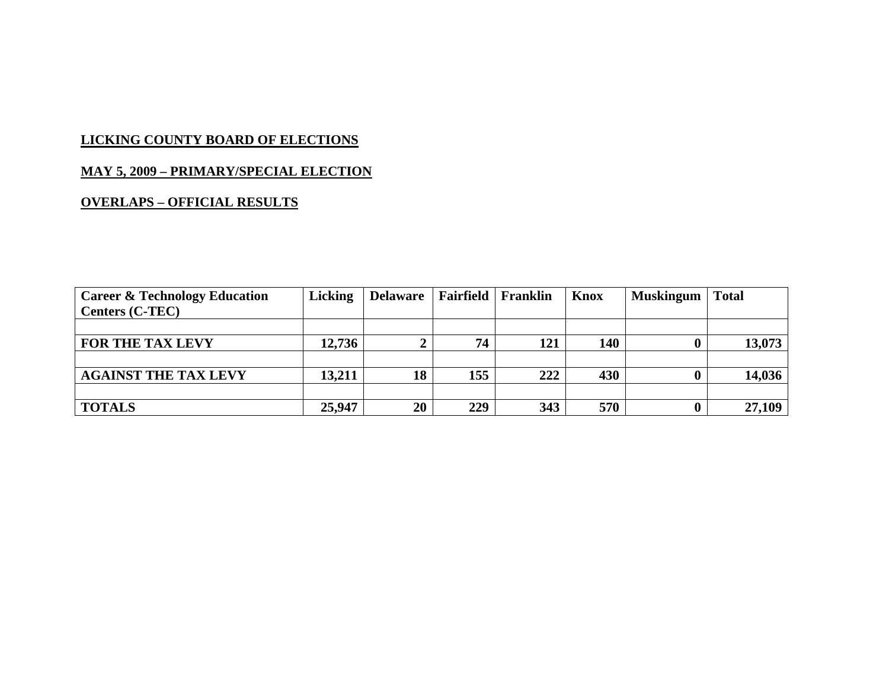## **MAY 5, 2009 – PRIMARY/SPECIAL ELECTION**

| <b>Career &amp; Technology Education</b> | <b>Licking</b> | Delaware   Fairfield   Franklin |     |     | Knox | <b>Muskingum</b> | <b>Total</b> |
|------------------------------------------|----------------|---------------------------------|-----|-----|------|------------------|--------------|
| <b>Centers (C-TEC)</b>                   |                |                                 |     |     |      |                  |              |
|                                          |                |                                 |     |     |      |                  |              |
| <b>FOR THE TAX LEVY</b>                  | 12,736         |                                 | 74  | 121 | 140  |                  | 13,073       |
|                                          |                |                                 |     |     |      |                  |              |
| <b>AGAINST THE TAX LEVY</b>              | 13,211         | 18                              | 155 | 222 | 430  |                  | 14,036       |
|                                          |                |                                 |     |     |      |                  |              |
| <b>TOTALS</b>                            | 25,947         | 20                              | 229 | 343 | 570  |                  | 27,109       |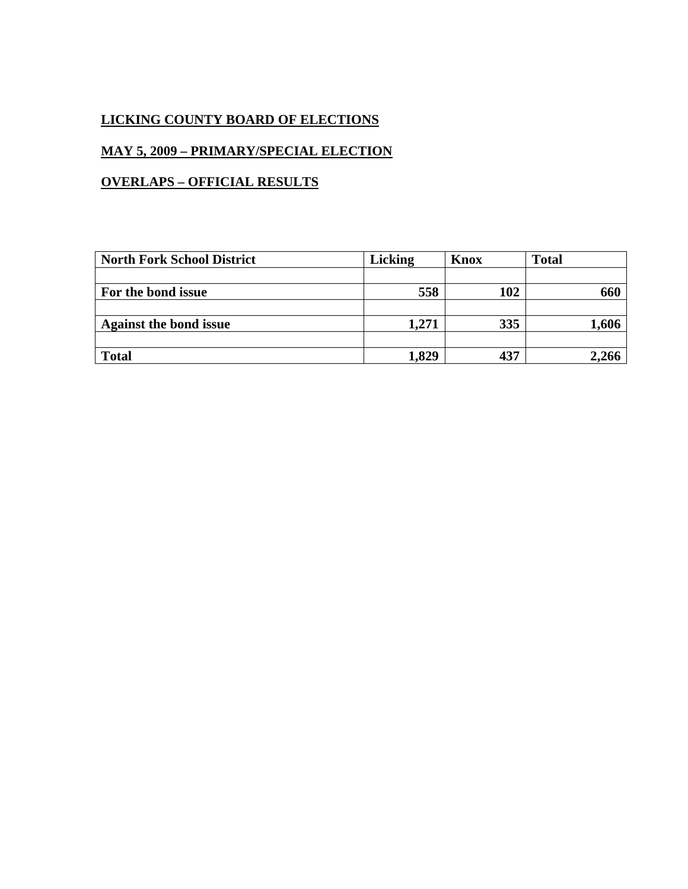## **MAY 5, 2009 – PRIMARY/SPECIAL ELECTION**

| <b>North Fork School District</b> | <b>Licking</b> | <b>Knox</b> | <b>Total</b> |
|-----------------------------------|----------------|-------------|--------------|
|                                   |                |             |              |
| For the bond issue                | 558            | 102         | 660          |
|                                   |                |             |              |
| <b>Against the bond issue</b>     | 1,271          | 335         | 1,606        |
|                                   |                |             |              |
| <b>Total</b>                      | 1,829          | 437         | 2,266        |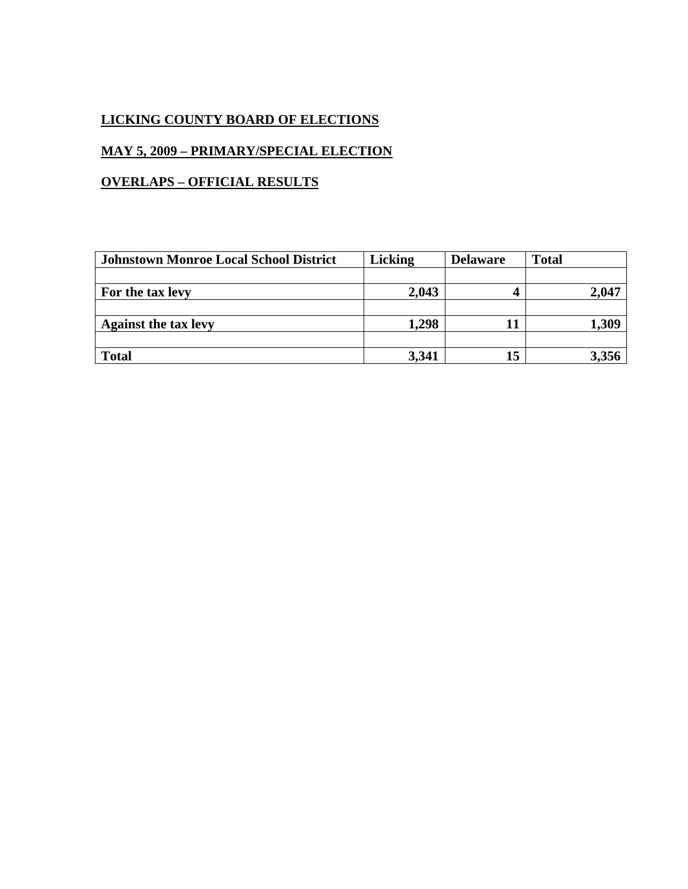# **MAY 5, 2009 – PRIMARY/SPECIAL ELECTION**

| <b>Johnstown Monroe Local School District</b> | <b>Licking</b> | <b>Delaware</b> | <b>Total</b> |
|-----------------------------------------------|----------------|-----------------|--------------|
|                                               |                |                 |              |
| For the tax levy                              | 2,043          |                 | 2,047        |
|                                               |                |                 |              |
| <b>Against the tax levy</b>                   | 1,298          |                 | 1,309        |
|                                               |                |                 |              |
| <b>Total</b>                                  | 3,341          | 15              |              |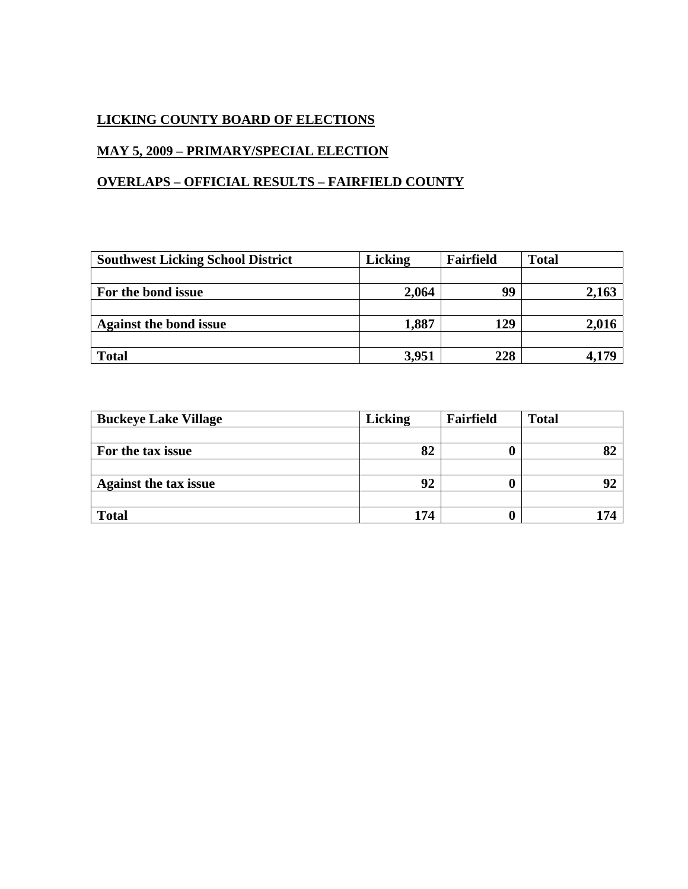# **MAY 5, 2009 – PRIMARY/SPECIAL ELECTION**

## **OVERLAPS – OFFICIAL RESULTS – FAIRFIELD COUNTY**

| <b>Southwest Licking School District</b> | <b>Licking</b> | Fairfield | <b>Total</b> |
|------------------------------------------|----------------|-----------|--------------|
|                                          |                |           |              |
| For the bond issue                       | 2,064          | 99        | 2,163        |
|                                          |                |           |              |
| <b>Against the bond issue</b>            | 1,887          | 129       | 2,016        |
|                                          |                |           |              |
| <b>Total</b>                             | 3,951          | 228       | 4,179        |

| <b>Buckeye Lake Village</b>  | <b>Licking</b> | Fairfield | <b>Total</b> |
|------------------------------|----------------|-----------|--------------|
|                              |                |           |              |
| For the tax issue            | 82             |           | 82           |
|                              |                |           |              |
| <b>Against the tax issue</b> | 92             |           | 92           |
|                              |                |           |              |
| <b>Total</b>                 | 174            |           | 17 A         |